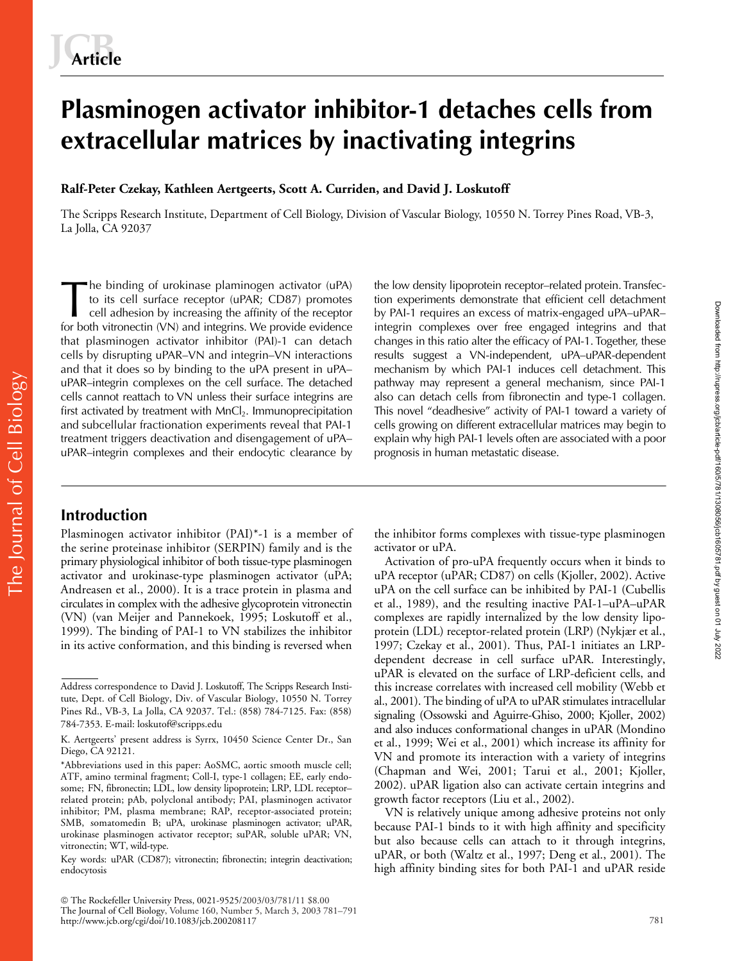# **Plasminogen activator inhibitor-1 detaches cells from extracellular matrices by inactivating integrins**

# **Ralf-Peter Czekay, Kathleen Aertgeerts, Scott A. Curriden, and David J. Loskutoff**

The Scripps Research Institute, Department of Cell Biology, Division of Vascular Biology, 10550 N. Torrey Pines Road, VB-3, La Jolla, CA 92037

he binding of urokinase plaminogen activator (uPA) to its cell surface receptor (uPAR; CD87) promotes cell adhesion by increasing the affinity of the receptor for both vitronectin (VN) and integrins. We provide evidence that plasminogen activator inhibitor (PAI)-1 can detach cells by disrupting uPAR–VN and integrin–VN interactions and that it does so by binding to the uPA present in uPA– uPAR–integrin complexes on the cell surface. The detached cells cannot reattach to VN unless their surface integrins are first activated by treatment with MnCl<sub>2</sub>. Immunoprecipitation and subcellular fractionation experiments reveal that PAI-1 treatment triggers deactivation and disengagement of uPA– uPAR–integrin complexes and their endocytic clearance by The binding of urokinase plaminogen activator (uPA) the low density lipoprotein receptor–related protein. Transfec-<br>to its cell surface receptor (uPAR; CD87) promotes tion experiments demonstrate that efficient cell detach

tion experiments demonstrate that efficient cell detachment by PAI-1 requires an excess of matrix-engaged uPA–uPAR– integrin complexes over free engaged integrins and that changes in this ratio alter the efficacy of PAI-1. Together, these results suggest a VN-independent, uPA–uPAR-dependent mechanism by which PAI-1 induces cell detachment. This pathway may represent a general mechanism, since PAI-1 also can detach cells from fibronectin and type-1 collagen. This novel "deadhesive" activity of PAI-1 toward a variety of cells growing on different extracellular matrices may begin to explain why high PAI-1 levels often are associated with a poor prognosis in human metastatic disease.

# **Introduction**

The Journal of Cell Biology

The Journal of Cell Biology

Plasminogen activator inhibitor (PAI)\*-1 is a member of the serine proteinase inhibitor (SERPIN) family and is the primary physiological inhibitor of both tissue-type plasminogen activator and urokinase-type plasminogen activator (uPA; Andreasen et al., 2000). It is a trace protein in plasma and circulates in complex with the adhesive glycoprotein vitronectin (VN) (van Meijer and Pannekoek, 1995; Loskutoff et al., 1999). The binding of PAI-1 to VN stabilizes the inhibitor in its active conformation, and this binding is reversed when

 The Rockefeller University Press, 0021-9525/2003/03/781/11 \$8.00 The Journal of Cell Biology, Volume 160, Number 5, March 3, 2003 781–791 http://www.jcb.org/cgi/doi/10.1083/jcb.200208117

the inhibitor forms complexes with tissue-type plasminogen activator or uPA.

Activation of pro-uPA frequently occurs when it binds to uPA receptor (uPAR; CD87) on cells (Kjoller, 2002). Active uPA on the cell surface can be inhibited by PAI-1 (Cubellis et al., 1989), and the resulting inactive PAI-1–uPA–uPAR complexes are rapidly internalized by the low density lipoprotein (LDL) receptor-related protein (LRP) (Nykjær et al., 1997; Czekay et al., 2001). Thus, PAI-1 initiates an LRPdependent decrease in cell surface uPAR. Interestingly, uPAR is elevated on the surface of LRP-deficient cells, and this increase correlates with increased cell mobility (Webb et al., 2001). The binding of uPA to uPAR stimulates intracellular signaling (Ossowski and Aguirre-Ghiso, 2000; Kjoller, 2002) and also induces conformational changes in uPAR (Mondino et al., 1999; Wei et al., 2001) which increase its affinity for VN and promote its interaction with a variety of integrins (Chapman and Wei, 2001; Tarui et al., 2001; Kjoller, 2002). uPAR ligation also can activate certain integrins and growth factor receptors (Liu et al., 2002).

VN is relatively unique among adhesive proteins not only because PAI-1 binds to it with high affinity and specificity but also because cells can attach to it through integrins, uPAR, or both (Waltz et al., 1997; Deng et al., 2001). The high affinity binding sites for both PAI-1 and uPAR reside

Address correspondence to David J. Loskutoff, The Scripps Research Institute, Dept. of Cell Biology, Div. of Vascular Biology, 10550 N. Torrey Pines Rd., VB-3, La Jolla, CA 92037. Tel.: (858) 784-7125. Fax: (858) 784-7353. E-mail: loskutof@scripps.edu

K. Aertgeerts' present address is Syrrx, 10450 Science Center Dr., San Diego, CA 92121.

<sup>\*</sup>Abbreviations used in this paper: AoSMC, aortic smooth muscle cell; ATF, amino terminal fragment; Coll-I, type-1 collagen; EE, early endosome; FN, fibronectin; LDL, low density lipoprotein; LRP, LDL receptorrelated protein; pAb, polyclonal antibody; PAI, plasminogen activator inhibitor; PM, plasma membrane; RAP, receptor-associated protein; SMB, somatomedin B; uPA, urokinase plasminogen activator; uPAR, urokinase plasminogen activator receptor; suPAR, soluble uPAR; VN, vitronectin; WT, wild-type.

Key words: uPAR (CD87); vitronectin; fibronectin; integrin deactivation; endocytosis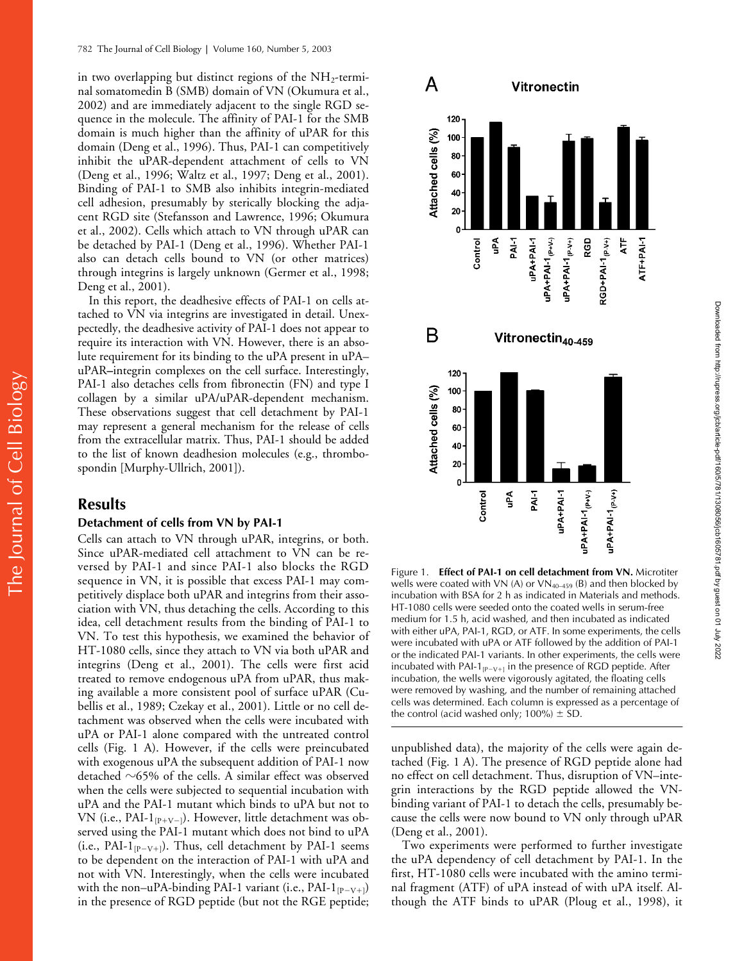in two overlapping but distinct regions of the  $NH_2$ -terminal somatomedin B (SMB) domain of VN (Okumura et al., 2002) and are immediately adjacent to the single RGD sequence in the molecule. The affinity of PAI-1 for the SMB domain is much higher than the affinity of uPAR for this domain (Deng et al., 1996). Thus, PAI-1 can competitively inhibit the uPAR-dependent attachment of cells to VN (Deng et al., 1996; Waltz et al., 1997; Deng et al., 2001). Binding of PAI-1 to SMB also inhibits integrin-mediated cell adhesion, presumably by sterically blocking the adjacent RGD site (Stefansson and Lawrence, 1996; Okumura et al., 2002). Cells which attach to VN through uPAR can be detached by PAI-1 (Deng et al., 1996). Whether PAI-1 also can detach cells bound to VN (or other matrices) through integrins is largely unknown (Germer et al., 1998; Deng et al., 2001).

In this report, the deadhesive effects of PAI-1 on cells attached to VN via integrins are investigated in detail. Unexpectedly, the deadhesive activity of PAI-1 does not appear to require its interaction with VN. However, there is an absolute requirement for its binding to the uPA present in uPA– uPAR**–**integrin complexes on the cell surface. Interestingly, PAI-1 also detaches cells from fibronectin (FN) and type I collagen by a similar uPA/uPAR-dependent mechanism. These observations suggest that cell detachment by PAI-1 may represent a general mechanism for the release of cells from the extracellular matrix. Thus, PAI-1 should be added to the list of known deadhesion molecules (e.g., thrombospondin [Murphy-Ullrich, 2001]).

## **Results**

The Journal of Cell Biology

The Journal of Cell Biology

#### **Detachment of cells from VN by PAI-1**

Cells can attach to VN through uPAR, integrins, or both. Since uPAR-mediated cell attachment to VN can be reversed by PAI-1 and since PAI-1 also blocks the RGD sequence in VN, it is possible that excess PAI-1 may competitively displace both uPAR and integrins from their association with VN, thus detaching the cells. According to this idea, cell detachment results from the binding of PAI-1 to VN. To test this hypothesis, we examined the behavior of HT-1080 cells, since they attach to VN via both uPAR and integrins (Deng et al., 2001). The cells were first acid treated to remove endogenous uPA from uPAR, thus making available a more consistent pool of surface uPAR (Cubellis et al., 1989; Czekay et al., 2001). Little or no cell detachment was observed when the cells were incubated with uPA or PAI-1 alone compared with the untreated control cells (Fig. 1 A). However, if the cells were preincubated with exogenous uPA the subsequent addition of PAI-1 now detached  $\sim$ 65% of the cells. A similar effect was observed when the cells were subjected to sequential incubation with uPA and the PAI-1 mutant which binds to uPA but not to VN (i.e., PAI-1 $_{\rm [P+V-]}$ ). However, little detachment was observed using the PAI-1 mutant which does not bind to uPA (i.e., PAI- $1_{[P-V+]}$ ). Thus, cell detachment by PAI-1 seems to be dependent on the interaction of PAI-1 with uPA and not with VN. Interestingly, when the cells were incubated with the non–uPA-binding PAI-1 variant (i.e., PAI-1 $_{\rm [P-V+]}$ ) in the presence of RGD peptide (but not the RGE peptide;



Figure 1. **Effect of PAI-1 on cell detachment from VN.** Microtiter wells were coated with VN (A) or  $VN_{40-459}$  (B) and then blocked by incubation with BSA for 2 h as indicated in Materials and methods. HT-1080 cells were seeded onto the coated wells in serum-free medium for 1.5 h, acid washed, and then incubated as indicated with either uPA, PAI-1, RGD, or ATF. In some experiments, the cells were incubated with uPA or ATF followed by the addition of PAI-1 or the indicated PAI-1 variants. In other experiments, the cells were incubated with PAI-1 $_{[P-V+]}$  in the presence of RGD peptide. After incubation, the wells were vigorously agitated, the floating cells were removed by washing, and the number of remaining attached cells was determined. Each column is expressed as a percentage of the control (acid washed only;  $100\% \pm SD$ .

unpublished data), the majority of the cells were again detached (Fig. 1 A). The presence of RGD peptide alone had no effect on cell detachment. Thus, disruption of VN–integrin interactions by the RGD peptide allowed the VNbinding variant of PAI-1 to detach the cells, presumably because the cells were now bound to VN only through uPAR (Deng et al., 2001).

Two experiments were performed to further investigate the uPA dependency of cell detachment by PAI-1. In the first, HT-1080 cells were incubated with the amino terminal fragment (ATF) of uPA instead of with uPA itself. Although the ATF binds to uPAR (Ploug et al., 1998), it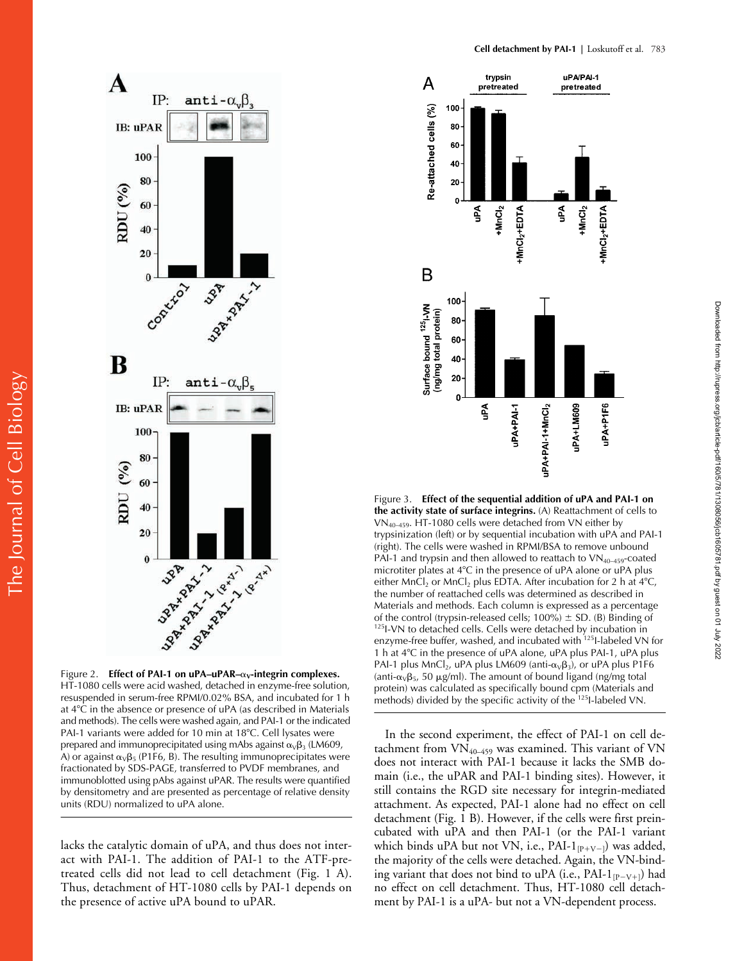

HT-1080 cells were acid washed, detached in enzyme-free solution, resuspended in serum-free RPMI/0.02% BSA, and incubated for 1 h at 4C in the absence or presence of uPA (as described in Materials and methods). The cells were washed again, and PAI-1 or the indicated PAI-1 variants were added for 10 min at 18°C. Cell lysates were prepared and immunoprecipitated using mAbs against  $\alpha_{\nu}\beta_3$  (LM609, A) or against  $\alpha_{v}\beta_{5}$  (P1F6, B). The resulting immunoprecipitates were fractionated by SDS-PAGE, transferred to PVDF membranes, and immunoblotted using pAbs against uPAR. The results were quantified by densitometry and are presented as percentage of relative density units (RDU) normalized to uPA alone.

lacks the catalytic domain of uPA, and thus does not interact with PAI-1. The addition of PAI-1 to the ATF-pretreated cells did not lead to cell detachment (Fig. 1 A). Thus, detachment of HT-1080 cells by PAI-1 depends on the presence of active uPA bound to uPAR.



Figure 3. **Effect of the sequential addition of uPA and PAI-1 on the activity state of surface integrins.** (A) Reattachment of cells to VN40–459. HT-1080 cells were detached from VN either by trypsinization (left) or by sequential incubation with uPA and PAI-1 (right). The cells were washed in RPMI/BSA to remove unbound PAI-1 and trypsin and then allowed to reattach to  $VN_{40-459}$ -coated microtiter plates at  $4^{\circ}$ C in the presence of uPA alone or uPA plus either MnCl<sub>2</sub> or MnCl<sub>2</sub> plus EDTA. After incubation for 2 h at  $4^{\circ}$ C, the number of reattached cells was determined as described in Materials and methods. Each column is expressed as a percentage of the control (trypsin-released cells; 100%)  $\pm$  SD. (B) Binding of  $^{125}$ I-VN to detached cells. Cells were detached by incubation in enzyme-free buffer, washed, and incubated with <sup>125</sup>I-labeled VN for 1 h at 4°C in the presence of uPA alone, uPA plus PAI-1, uPA plus PAI-1 plus MnCl<sub>2</sub>, uPA plus LM609 (anti- $\alpha_{\vee}\beta_3$ ), or uPA plus P1F6 (anti- $\alpha_V\beta_5$ , 50 µg/ml). The amount of bound ligand (ng/mg total protein) was calculated as specifically bound cpm (Materials and methods) divided by the specific activity of the <sup>125</sup>I-labeled VN.

In the second experiment, the effect of PAI-1 on cell detachment from  $VN_{40-459}$  was examined. This variant of VN does not interact with PAI-1 because it lacks the SMB domain (i.e., the uPAR and PAI-1 binding sites). However, it still contains the RGD site necessary for integrin-mediated attachment. As expected, PAI-1 alone had no effect on cell detachment (Fig. 1 B). However, if the cells were first preincubated with uPA and then PAI-1 (or the PAI-1 variant which binds uPA but not VN, i.e., PAI-1 $_{[P+V-]}$ ) was added, the majority of the cells were detached. Again, the VN-binding variant that does not bind to uPA (i.e., PAI-1 $_{\rm [P-V+]}$ ) had no effect on cell detachment. Thus, HT-1080 cell detachment by PAI-1 is a uPA- but not a VN-dependent process.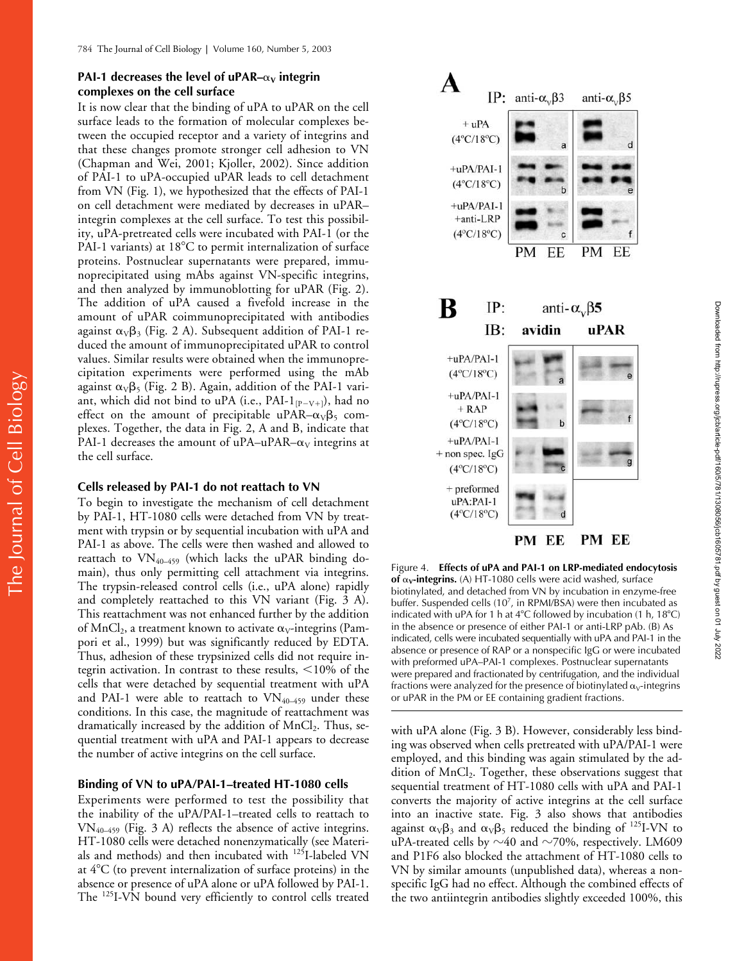## **PAI-1 decreases the level of uPAR–** $\alpha$ **<sub>V</sub> integrin complexes on the cell surface**

It is now clear that the binding of uPA to uPAR on the cell surface leads to the formation of molecular complexes between the occupied receptor and a variety of integrins and that these changes promote stronger cell adhesion to VN (Chapman and Wei, 2001; Kjoller, 2002). Since addition of PAI-1 to uPA-occupied uPAR leads to cell detachment from VN (Fig. 1), we hypothesized that the effects of PAI-1 on cell detachment were mediated by decreases in uPAR– integrin complexes at the cell surface. To test this possibility, uPA-pretreated cells were incubated with PAI-1 (or the PAI-1 variants) at  $18^{\circ}$ C to permit internalization of surface proteins. Postnuclear supernatants were prepared, immunoprecipitated using mAbs against VN-specific integrins, and then analyzed by immunoblotting for uPAR (Fig. 2). The addition of uPA caused a fivefold increase in the amount of uPAR coimmunoprecipitated with antibodies against  $\alpha_V\beta_3$  (Fig. 2 A). Subsequent addition of PAI-1 reduced the amount of immunoprecipitated uPAR to control values. Similar results were obtained when the immunoprecipitation experiments were performed using the mAb against  $\alpha_V\beta_5$  (Fig. 2 B). Again, addition of the PAI-1 variant, which did not bind to uPA (i.e., PAI-1 $_{\rm [P-V+]}$ ), had no effect on the amount of precipitable uPAR– $\alpha_V\beta_5$  complexes. Together, the data in Fig. 2, A and B, indicate that PAI-1 decreases the amount of uPA–uPAR– $\alpha_V$  integrins at the cell surface.

#### **Cells released by PAI-1 do not reattach to VN**

The Journal of Cell Biology

The Journal of Cell Biology

To begin to investigate the mechanism of cell detachment by PAI-1, HT-1080 cells were detached from VN by treatment with trypsin or by sequential incubation with uPA and PAI-1 as above. The cells were then washed and allowed to reattach to VN40–459 (which lacks the uPAR binding domain), thus only permitting cell attachment via integrins. The trypsin-released control cells (i.e., uPA alone) rapidly and completely reattached to this VN variant (Fig. 3 A). This reattachment was not enhanced further by the addition of MnCl<sub>2</sub>, a treatment known to activate  $\alpha_V$ -integrins (Pampori et al., 1999) but was significantly reduced by EDTA. Thus, adhesion of these trypsinized cells did not require integrin activation. In contrast to these results,  $\leq 10\%$  of the cells that were detached by sequential treatment with uPA and PAI-1 were able to reattach to  $VN_{40-459}$  under these conditions. In this case, the magnitude of reattachment was dramatically increased by the addition of  $MnCl<sub>2</sub>$ . Thus, sequential treatment with uPA and PAI-1 appears to decrease the number of active integrins on the cell surface.

#### **Binding of VN to uPA/PAI-1–treated HT-1080 cells**

Experiments were performed to test the possibility that the inability of the uPA/PAI-1–treated cells to reattach to  $VN_{40-459}$  (Fig. 3 A) reflects the absence of active integrins. HT-1080 cells were detached nonenzymatically (see Materials and methods) and then incubated with 125I-labeled VN at 4C (to prevent internalization of surface proteins) in the absence or presence of uPA alone or uPA followed by PAI-1. The <sup>125</sup>I-VN bound very efficiently to control cells treated



Figure 4. **Effects of uPA and PAI-1 on LRP-mediated endocytosis of**  $\alpha$ **v**-integrins. (A) HT-1080 cells were acid washed, surface biotinylated, and detached from VN by incubation in enzyme-free buffer. Suspended cells (10<sup>7</sup>, in RPMI/BSA) were then incubated as indicated with uPA for 1 h at  $4^{\circ}$ C followed by incubation (1 h,  $18^{\circ}$ C) in the absence or presence of either PAI-1 or anti-LRP pAb. (B) As indicated, cells were incubated sequentially with uPA and PAI-1 in the absence or presence of RAP or a nonspecific IgG or were incubated with preformed uPA–PAI-1 complexes. Postnuclear supernatants were prepared and fractionated by centrifugation, and the individual fractions were analyzed for the presence of biotinylated  $\alpha$ <sub>V</sub>-integrins or uPAR in the PM or EE containing gradient fractions.

with uPA alone (Fig. 3 B). However, considerably less binding was observed when cells pretreated with uPA/PAI-1 were employed, and this binding was again stimulated by the addition of MnCl<sub>2</sub>. Together, these observations suggest that sequential treatment of HT-1080 cells with uPA and PAI-1 converts the majority of active integrins at the cell surface into an inactive state. Fig. 3 also shows that antibodies against  $\alpha_V\beta_3$  and  $\alpha_V\beta_5$  reduced the binding of <sup>125</sup>I-VN to uPA-treated cells by  ${\sim}40$  and  ${\sim}70\%$ , respectively. LM609 and P1F6 also blocked the attachment of HT-1080 cells to VN by similar amounts (unpublished data), whereas a nonspecific IgG had no effect. Although the combined effects of the two antiintegrin antibodies slightly exceeded 100%, this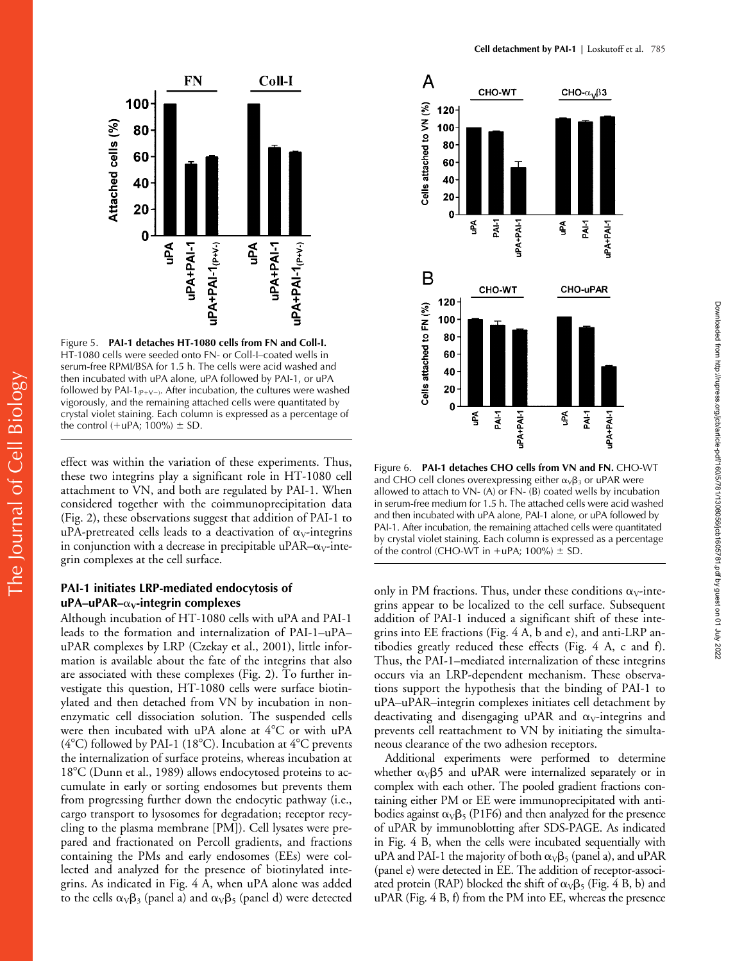

Figure 5. **PAI-1 detaches HT-1080 cells from FN and Coll-I.** HT-1080 cells were seeded onto FN- or Coll-I–coated wells in serum-free RPMI/BSA for 1.5 h. The cells were acid washed and then incubated with uPA alone, uPA followed by PAI-1, or uPA followed by PAI-1 $_{(P+V-)}$ . After incubation, the cultures were washed vigorously, and the remaining attached cells were quantitated by crystal violet staining. Each column is expressed as a percentage of the control (+uPA; 100%)  $\pm$  SD.

effect was within the variation of these experiments. Thus, these two integrins play a significant role in HT-1080 cell attachment to VN, and both are regulated by PAI-1. When considered together with the coimmunoprecipitation data (Fig. 2), these observations suggest that addition of PAI-1 to uPA-pretreated cells leads to a deactivation of  $\alpha_V$ -integrins in conjunction with a decrease in precipitable uPAR– $\alpha_V$ -integrin complexes at the cell surface.

## **PAI-1 initiates LRP-mediated endocytosis of uPA–uPAR–**α<sub>V</sub>-integrin complexes

Although incubation of HT-1080 cells with uPA and PAI-1 leads to the formation and internalization of PAI-1–uPA– uPAR complexes by LRP (Czekay et al., 2001), little information is available about the fate of the integrins that also are associated with these complexes (Fig. 2). To further investigate this question, HT-1080 cells were surface biotinylated and then detached from VN by incubation in nonenzymatic cell dissociation solution. The suspended cells were then incubated with uPA alone at  $4^{\circ}$ C or with uPA ( $4^{\circ}$ C) followed by PAI-1 (18 $^{\circ}$ C). Incubation at  $4^{\circ}$ C prevents the internalization of surface proteins, whereas incubation at 18°C (Dunn et al., 1989) allows endocytosed proteins to accumulate in early or sorting endosomes but prevents them from progressing further down the endocytic pathway (i.e., cargo transport to lysosomes for degradation; receptor recycling to the plasma membrane [PM]). Cell lysates were prepared and fractionated on Percoll gradients, and fractions containing the PMs and early endosomes (EEs) were collected and analyzed for the presence of biotinylated integrins. As indicated in Fig. 4 A, when uPA alone was added to the cells  $\alpha_V\beta_3$  (panel a) and  $\alpha_V\beta_5$  (panel d) were detected



Figure 6. **PAI-1 detaches CHO cells from VN and FN.** CHO-WT and CHO cell clones overexpressing either  $\alpha_V\beta_3$  or uPAR were allowed to attach to VN- (A) or FN- (B) coated wells by incubation in serum-free medium for 1.5 h. The attached cells were acid washed and then incubated with uPA alone, PAI-1 alone, or uPA followed by PAI-1. After incubation, the remaining attached cells were quantitated by crystal violet staining. Each column is expressed as a percentage of the control (CHO-WT in  $+uPA$ ; 100%)  $\pm$  SD.

Downloaded from http://rupress.org/jcb/article-pdf/160/5/781/1308056/jcb1605781.pdf by guest on 01 July 2022

Downloaded from http://rupress.org/jcb/article-pdf/160/5/781/1308056/jcb1605781.pdf by guest on 01 July 2022

only in PM fractions. Thus, under these conditions  $\alpha_V$ -integrins appear to be localized to the cell surface. Subsequent addition of PAI-1 induced a significant shift of these integrins into EE fractions (Fig. 4 A, b and e), and anti-LRP antibodies greatly reduced these effects (Fig. 4 A, c and f). Thus, the PAI-1–mediated internalization of these integrins occurs via an LRP-dependent mechanism. These observations support the hypothesis that the binding of PAI-1 to uPA–uPAR–integrin complexes initiates cell detachment by deactivating and disengaging uPAR and  $\alpha_V$ -integrins and prevents cell reattachment to VN by initiating the simultaneous clearance of the two adhesion receptors.

Additional experiments were performed to determine whether  $\alpha_V\beta$ 5 and uPAR were internalized separately or in complex with each other. The pooled gradient fractions containing either PM or EE were immunoprecipitated with antibodies against  $\alpha_V\beta_5$  (P1F6) and then analyzed for the presence of uPAR by immunoblotting after SDS-PAGE. As indicated in Fig. 4 B, when the cells were incubated sequentially with uPA and PAI-1 the majority of both  $\alpha_V\beta_5$  (panel a), and uPAR (panel e) were detected in EE. The addition of receptor-associated protein (RAP) blocked the shift of  $\alpha_{\rm V}\beta_5$  (Fig. 4 B, b) and uPAR (Fig. 4 B, f) from the PM into EE, whereas the presence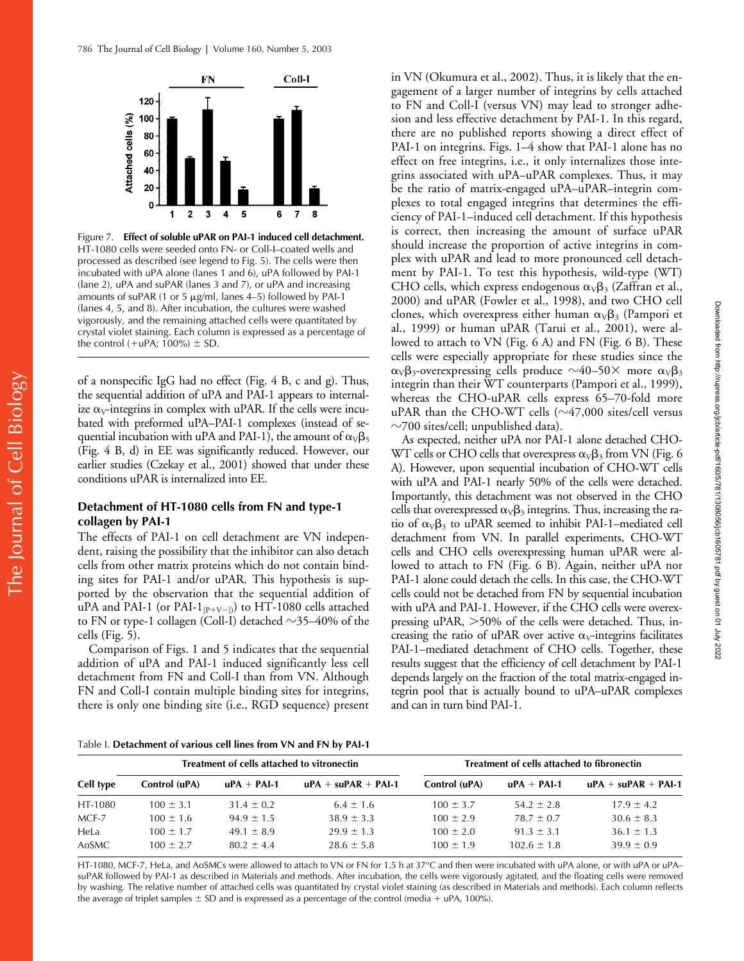

Figure 7. **Effect of soluble uPAR on PAI-1 induced cell detachment.** HT-1080 cells were seeded onto FN- or Coll-I–coated wells and processed as described (see legend to Fig. 5). The cells were then incubated with uPA alone (lanes 1 and 6), uPA followed by PAI-1 (lane 2), uPA and suPAR (lanes 3 and 7), or uPA and increasing amounts of suPAR (1 or 5  $\mu$ g/ml, lanes 4–5) followed by PAI-1 (lanes 4, 5, and 8). After incubation, the cultures were washed vigorously, and the remaining attached cells were quantitated by crystal violet staining. Each column is expressed as a percentage of the control  $(+uPA; 100%) \pm SD$ .

of a nonspecific IgG had no effect (Fig. 4 B, c and g). Thus, the sequential addition of uPA and PAI-1 appears to internalize  $\alpha_V$ -integrins in complex with uPAR. If the cells were incubated with preformed uPA–PAI-1 complexes (instead of sequential incubation with uPA and PAI-1), the amount of  $\alpha_{\rm V}\beta_5$ (Fig. 4 B, d) in EE was significantly reduced. However, our earlier studies (Czekay et al., 2001) showed that under these conditions uPAR is internalized into EE.

# **Detachment of HT-1080 cells from FN and type-1 collagen by PAI-1**

The effects of PAI-1 on cell detachment are VN independent, raising the possibility that the inhibitor can also detach cells from other matrix proteins which do not contain binding sites for PAI-1 and/or uPAR. This hypothesis is supported by the observation that the sequential addition of uPA and PAI-1 (or PAI-1 $_{\rm [P+V-J)}$ ) to HT-1080 cells attached to FN or type-1 collagen (Coll-I) detached  $\sim$ 35–40% of the cells (Fig. 5).

Comparison of Figs. 1 and 5 indicates that the sequential addition of uPA and PAI-1 induced significantly less cell detachment from FN and Coll-I than from VN. Although FN and Coll-I contain multiple binding sites for integrins, there is only one binding site (i.e., RGD sequence) present in VN (Okumura et al., 2002). Thus, it is likely that the engagement of a larger number of integrins by cells attached to FN and Coll-I (versus VN) may lead to stronger adhesion and less effective detachment by PAI-1. In this regard, there are no published reports showing a direct effect of PAI-1 on integrins. Figs. 1–4 show that PAI-1 alone has no effect on free integrins, i.e., it only internalizes those integrins associated with uPA–uPAR complexes. Thus, it may be the ratio of matrix-engaged uPA–uPAR–integrin complexes to total engaged integrins that determines the efficiency of PAI-1–induced cell detachment. If this hypothesis is correct, then increasing the amount of surface uPAR should increase the proportion of active integrins in complex with uPAR and lead to more pronounced cell detachment by PAI-1. To test this hypothesis, wild-type (WT) CHO cells, which express endogenous  $\alpha_V\beta_3$  (Zaffran et al., 2000) and uPAR (Fowler et al., 1998), and two CHO cell clones, which overexpress either human  $\alpha_V\beta_3$  (Pampori et al., 1999) or human uPAR (Tarui et al., 2001), were allowed to attach to VN (Fig. 6 A) and FN (Fig. 6 B). These cells were especially appropriate for these studies since the  $\alpha_{\rm V}\beta_3$ -overexpressing cells produce  ${\sim}40\text{--}50\times$  more  $\alpha_{\rm V}\beta_3$ integrin than their WT counterparts (Pampori et al., 1999), whereas the CHO-uPAR cells express 65–70-fold more uPAR than the CHO-WT cells ( $\sim$ 47,000 sites/cell versus  $\sim$ 700 sites/cell; unpublished data).

As expected, neither uPA nor PAI-1 alone detached CHO-WT cells or CHO cells that overexpress  $\alpha_{\rm V}\beta_3$  from VN (Fig. 6 A). However, upon sequential incubation of CHO-WT cells with uPA and PAI-1 nearly 50% of the cells were detached. Importantly, this detachment was not observed in the CHO cells that overexpressed  $\alpha_V\beta_3$  integrins. Thus, increasing the ratio of  $\alpha_V\beta_3$  to uPAR seemed to inhibit PAI-1–mediated cell detachment from VN. In parallel experiments, CHO-WT cells and CHO cells overexpressing human uPAR were allowed to attach to FN (Fig. 6 B). Again, neither uPA nor PAI-1 alone could detach the cells. In this case, the CHO-WT cells could not be detached from FN by sequential incubation with uPA and PAI-1. However, if the CHO cells were overexpressing uPAR,  $>50\%$  of the cells were detached. Thus, increasing the ratio of uPAR over active  $\alpha_V$ -integrins facilitates PAI-1–mediated detachment of CHO cells. Together, these results suggest that the efficiency of cell detachment by PAI-1 depends largely on the fraction of the total matrix-engaged integrin pool that is actually bound to uPA–uPAR complexes and can in turn bind PAI-1.

Table I. **Detachment of various cell lines from VN and FN by PAI-1**

| Cell type | Treatment of cells attached to vitronectin |                |                              | Treatment of cells attached to fibronectin |                 |                         |
|-----------|--------------------------------------------|----------------|------------------------------|--------------------------------------------|-----------------|-------------------------|
|           | Control (uPA)                              | $uPA + PAI-1$  | $uPA + \text{supAR} + PAI-1$ | Control (uPA)                              | $uPA + PAI-1$   | $uPA + \mu PAR + PAI-1$ |
| HT-1080   | $100 \pm 3.1$                              | $31.4 \pm 0.2$ | $6.4 \pm 1.6$                | $100 \pm 3.7$                              | $54.2 \pm 2.8$  | $17.9 \pm 4.2$          |
| MCF-7     | $100 \pm 1.6$                              | $94.9 \pm 1.5$ | $38.9 \pm 3.3$               | $100 \pm 2.9$                              | $78.7 \pm 0.7$  | $30.6 \pm 8.3$          |
| HeLa      | $100 \pm 1.7$                              | $49.1 \pm 8.9$ | $29.9 \pm 1.3$               | $100 \pm 2.0$                              | $91.3 \pm 3.1$  | $36.1 \pm 1.3$          |
| AoSMC     | $100 \pm 2.7$                              | $80.2 \pm 4.4$ | $28.6 \pm 5.8$               | $100 \pm 1.9$                              | $102.6 \pm 1.8$ | $39.9 \pm 0.9$          |

HT-1080, MCF-7, HeLa, and AoSMCs were allowed to attach to VN or FN for 1.5 h at 37°C and then were incubated with uPA alone, or with uPA or uPA– suPAR followed by PAI-1 as described in Materials and methods. After incubation, the cells were vigorously agitated, and the floating cells were removed by washing. The relative number of attached cells was quantitated by crystal violet staining (as described in Materials and methods). Each column reflects the average of triplet samples  $\pm$  SD and is expressed as a percentage of the control (media + uPA, 100%).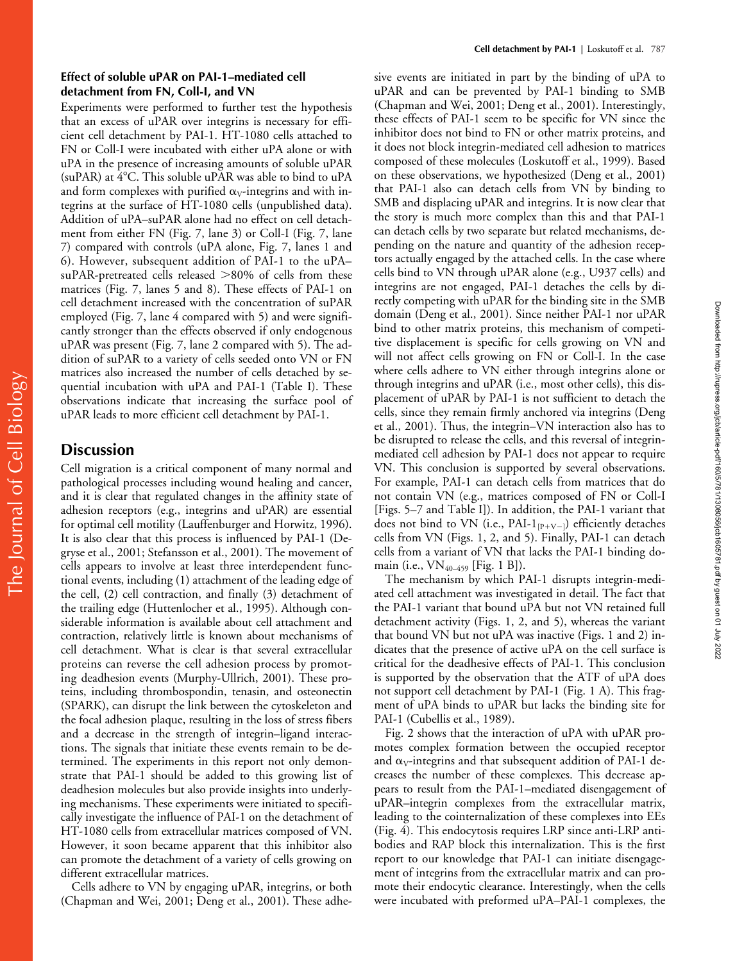Experiments were performed to further test the hypothesis that an excess of uPAR over integrins is necessary for efficient cell detachment by PAI-1. HT-1080 cells attached to FN or Coll-I were incubated with either uPA alone or with uPA in the presence of increasing amounts of soluble uPAR (suPAR) at  $4^{\circ}$ C. This soluble uPAR was able to bind to uPA and form complexes with purified  $\alpha_V$ -integrins and with integrins at the surface of HT-1080 cells (unpublished data). Addition of uPA–suPAR alone had no effect on cell detachment from either FN (Fig. 7, lane 3) or Coll-I (Fig. 7, lane 7) compared with controls (uPA alone, Fig. 7, lanes 1 and 6). However, subsequent addition of PAI-1 to the uPA– suPAR-pretreated cells released  $>80\%$  of cells from these matrices (Fig. 7, lanes 5 and 8). These effects of PAI-1 on cell detachment increased with the concentration of suPAR employed (Fig. 7, lane 4 compared with 5) and were significantly stronger than the effects observed if only endogenous uPAR was present (Fig. 7, lane 2 compared with 5). The addition of suPAR to a variety of cells seeded onto VN or FN matrices also increased the number of cells detached by sequential incubation with uPA and PAI-1 (Table I). These observations indicate that increasing the surface pool of uPAR leads to more efficient cell detachment by PAI-1.

# **Discussion**

Cell migration is a critical component of many normal and pathological processes including wound healing and cancer, and it is clear that regulated changes in the affinity state of adhesion receptors (e.g., integrins and uPAR) are essential for optimal cell motility (Lauffenburger and Horwitz, 1996). It is also clear that this process is influenced by PAI-1 (Degryse et al., 2001; Stefansson et al., 2001). The movement of cells appears to involve at least three interdependent functional events, including (1) attachment of the leading edge of the cell, (2) cell contraction, and finally (3) detachment of the trailing edge (Huttenlocher et al., 1995). Although considerable information is available about cell attachment and contraction, relatively little is known about mechanisms of cell detachment. What is clear is that several extracellular proteins can reverse the cell adhesion process by promoting deadhesion events (Murphy-Ullrich, 2001). These proteins, including thrombospondin, tenasin, and osteonectin (SPARK), can disrupt the link between the cytoskeleton and the focal adhesion plaque, resulting in the loss of stress fibers and a decrease in the strength of integrin–ligand interactions. The signals that initiate these events remain to be determined. The experiments in this report not only demonstrate that PAI-1 should be added to this growing list of deadhesion molecules but also provide insights into underlying mechanisms. These experiments were initiated to specifically investigate the influence of PAI-1 on the detachment of HT-1080 cells from extracellular matrices composed of VN. However, it soon became apparent that this inhibitor also can promote the detachment of a variety of cells growing on different extracellular matrices.

Cells adhere to VN by engaging uPAR, integrins, or both (Chapman and Wei, 2001; Deng et al., 2001). These adhe-

sive events are initiated in part by the binding of uPA to uPAR and can be prevented by PAI-1 binding to SMB (Chapman and Wei, 2001; Deng et al., 2001). Interestingly, these effects of PAI-1 seem to be specific for VN since the inhibitor does not bind to FN or other matrix proteins, and it does not block integrin-mediated cell adhesion to matrices composed of these molecules (Loskutoff et al., 1999). Based on these observations, we hypothesized (Deng et al., 2001) that PAI-1 also can detach cells from VN by binding to SMB and displacing uPAR and integrins. It is now clear that the story is much more complex than this and that PAI-1 can detach cells by two separate but related mechanisms, depending on the nature and quantity of the adhesion receptors actually engaged by the attached cells. In the case where cells bind to VN through uPAR alone (e.g., U937 cells) and integrins are not engaged, PAI-1 detaches the cells by directly competing with uPAR for the binding site in the SMB domain (Deng et al., 2001). Since neither PAI-1 nor uPAR bind to other matrix proteins, this mechanism of competitive displacement is specific for cells growing on VN and will not affect cells growing on FN or Coll-I. In the case where cells adhere to VN either through integrins alone or through integrins and uPAR (i.e., most other cells), this displacement of uPAR by PAI-1 is not sufficient to detach the cells, since they remain firmly anchored via integrins (Deng et al., 2001). Thus, the integrin–VN interaction also has to be disrupted to release the cells, and this reversal of integrinmediated cell adhesion by PAI-1 does not appear to require VN. This conclusion is supported by several observations. For example, PAI-1 can detach cells from matrices that do not contain VN (e.g., matrices composed of FN or Coll-I [Figs. 5–7 and Table I]). In addition, the PAI-1 variant that does not bind to VN (i.e., PAI-1 $_{\rm [P+V-]}$ ) efficiently detaches cells from VN (Figs. 1, 2, and 5). Finally, PAI-1 can detach cells from a variant of VN that lacks the PAI-1 binding domain (i.e., VN<sub>40-459</sub> [Fig. 1 B]).

Downloaded from http://rupress.org/jcb/article-pdf/160/5/781/1308056/jcb1605781.pdf by guest on 01 July 2022 Downloaded from http://rupress.org/jcb/article-pdf/160/5/781/1308056/jcb1605781.pdf by guest on 01 July 2022

The mechanism by which PAI-1 disrupts integrin-mediated cell attachment was investigated in detail. The fact that the PAI-1 variant that bound uPA but not VN retained full detachment activity (Figs. 1, 2, and 5), whereas the variant that bound VN but not uPA was inactive (Figs. 1 and 2) indicates that the presence of active uPA on the cell surface is critical for the deadhesive effects of PAI-1. This conclusion is supported by the observation that the ATF of uPA does not support cell detachment by PAI-1 (Fig. 1 A). This fragment of uPA binds to uPAR but lacks the binding site for PAI-1 (Cubellis et al., 1989).

Fig. 2 shows that the interaction of uPA with uPAR promotes complex formation between the occupied receptor and  $\alpha_V$ -integrins and that subsequent addition of PAI-1 decreases the number of these complexes. This decrease appears to result from the PAI-1–mediated disengagement of uPAR–integrin complexes from the extracellular matrix, leading to the cointernalization of these complexes into EEs (Fig. 4). This endocytosis requires LRP since anti-LRP antibodies and RAP block this internalization. This is the first report to our knowledge that PAI-1 can initiate disengagement of integrins from the extracellular matrix and can promote their endocytic clearance. Interestingly, when the cells were incubated with preformed uPA–PAI-1 complexes, the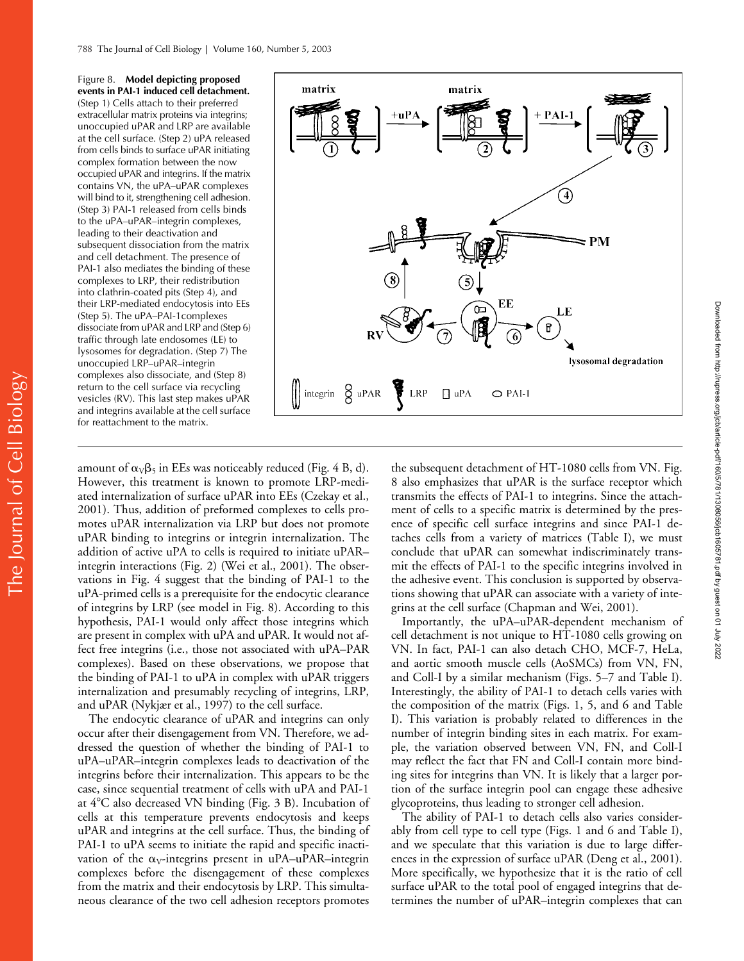Figure 8. **Model depicting proposed events in PAI-1 induced cell detachment.** (Step 1) Cells attach to their preferred extracellular matrix proteins via integrins; unoccupied uPAR and LRP are available at the cell surface. (Step 2) uPA released from cells binds to surface uPAR initiating complex formation between the now occupied uPAR and integrins. If the matrix contains VN, the uPA–uPAR complexes will bind to it, strengthening cell adhesion. (Step 3) PAI-1 released from cells binds to the uPA–uPAR–integrin complexes, leading to their deactivation and subsequent dissociation from the matrix and cell detachment. The presence of PAI-1 also mediates the binding of these complexes to LRP, their redistribution into clathrin-coated pits (Step 4), and their LRP-mediated endocytosis into EEs (Step 5). The uPA–PAI-1complexes dissociate from uPAR and LRP and (Step 6) traffic through late endosomes (LE) to lysosomes for degradation. (Step 7) The unoccupied LRP–uPAR–integrin complexes also dissociate, and (Step 8) return to the cell surface via recycling vesicles (RV). This last step makes uPAR and integrins available at the cell surface for reattachment to the matrix.



amount of  $\alpha_{\rm V}\beta_5$  in EEs was noticeably reduced (Fig. 4 B, d). However, this treatment is known to promote LRP-mediated internalization of surface uPAR into EEs (Czekay et al., 2001). Thus, addition of preformed complexes to cells promotes uPAR internalization via LRP but does not promote uPAR binding to integrins or integrin internalization. The addition of active uPA to cells is required to initiate uPAR– integrin interactions (Fig. 2) (Wei et al., 2001). The observations in Fig. 4 suggest that the binding of PAI-1 to the uPA-primed cells is a prerequisite for the endocytic clearance of integrins by LRP (see model in Fig. 8). According to this hypothesis, PAI-1 would only affect those integrins which are present in complex with uPA and uPAR. It would not affect free integrins (i.e., those not associated with uPA–PAR complexes). Based on these observations, we propose that the binding of PAI-1 to uPA in complex with uPAR triggers internalization and presumably recycling of integrins, LRP, and uPAR (Nykjær et al., 1997) to the cell surface.

The endocytic clearance of uPAR and integrins can only occur after their disengagement from VN. Therefore, we addressed the question of whether the binding of PAI-1 to uPA–uPAR–integrin complexes leads to deactivation of the integrins before their internalization. This appears to be the case, since sequential treatment of cells with uPA and PAI-1 at  $4^{\circ}$ C also decreased VN binding (Fig. 3 B). Incubation of cells at this temperature prevents endocytosis and keeps uPAR and integrins at the cell surface. Thus, the binding of PAI-1 to uPA seems to initiate the rapid and specific inactivation of the  $\alpha_V$ -integrins present in uPA–uPAR–integrin complexes before the disengagement of these complexes from the matrix and their endocytosis by LRP. This simultaneous clearance of the two cell adhesion receptors promotes

the subsequent detachment of HT-1080 cells from VN. Fig. 8 also emphasizes that uPAR is the surface receptor which transmits the effects of PAI-1 to integrins. Since the attachment of cells to a specific matrix is determined by the presence of specific cell surface integrins and since PAI-1 detaches cells from a variety of matrices (Table I), we must conclude that uPAR can somewhat indiscriminately transmit the effects of PAI-1 to the specific integrins involved in the adhesive event. This conclusion is supported by observations showing that uPAR can associate with a variety of integrins at the cell surface (Chapman and Wei, 2001).

Importantly, the uPA–uPAR-dependent mechanism of cell detachment is not unique to HT-1080 cells growing on VN. In fact, PAI-1 can also detach CHO, MCF-7, HeLa, and aortic smooth muscle cells (AoSMCs) from VN, FN, and Coll-I by a similar mechanism (Figs. 5–7 and Table I). Interestingly, the ability of PAI-1 to detach cells varies with the composition of the matrix (Figs. 1, 5, and 6 and Table I). This variation is probably related to differences in the number of integrin binding sites in each matrix. For example, the variation observed between VN, FN, and Coll-I may reflect the fact that FN and Coll-I contain more binding sites for integrins than VN. It is likely that a larger portion of the surface integrin pool can engage these adhesive glycoproteins, thus leading to stronger cell adhesion.

The ability of PAI-1 to detach cells also varies considerably from cell type to cell type (Figs. 1 and 6 and Table I), and we speculate that this variation is due to large differences in the expression of surface uPAR (Deng et al., 2001). More specifically, we hypothesize that it is the ratio of cell surface uPAR to the total pool of engaged integrins that determines the number of uPAR–integrin complexes that can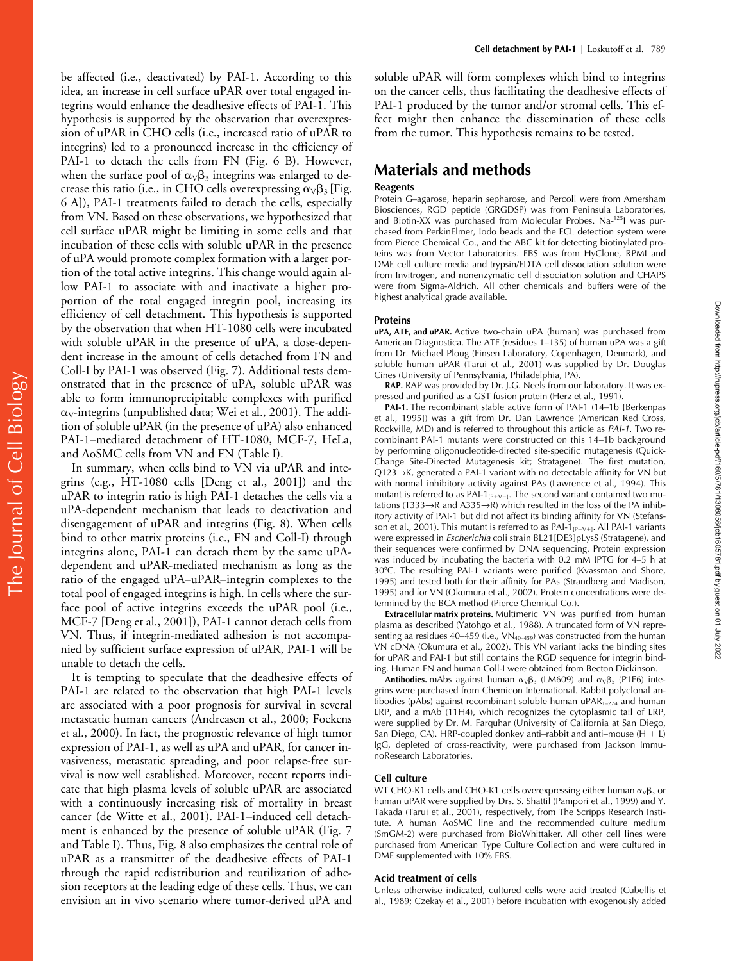be affected (i.e., deactivated) by PAI-1. According to this idea, an increase in cell surface uPAR over total engaged integrins would enhance the deadhesive effects of PAI-1. This hypothesis is supported by the observation that overexpression of uPAR in CHO cells (i.e., increased ratio of uPAR to integrins) led to a pronounced increase in the efficiency of PAI-1 to detach the cells from FN (Fig. 6 B). However, when the surface pool of  $\alpha_V\beta_3$  integrins was enlarged to decrease this ratio (i.e., in CHO cells overexpressing  $\alpha_{v} \beta_{3}$  [Fig. 6 A]), PAI-1 treatments failed to detach the cells, especially from VN. Based on these observations, we hypothesized that cell surface uPAR might be limiting in some cells and that incubation of these cells with soluble uPAR in the presence of uPA would promote complex formation with a larger portion of the total active integrins. This change would again allow PAI-1 to associate with and inactivate a higher proportion of the total engaged integrin pool, increasing its efficiency of cell detachment. This hypothesis is supported by the observation that when HT-1080 cells were incubated with soluble uPAR in the presence of uPA, a dose-dependent increase in the amount of cells detached from FN and Coll-I by PAI-1 was observed (Fig. 7). Additional tests demonstrated that in the presence of uPA, soluble uPAR was able to form immunoprecipitable complexes with purified  $\alpha_{V}$ -integrins (unpublished data; Wei et al., 2001). The addition of soluble uPAR (in the presence of uPA) also enhanced PAI-1–mediated detachment of HT-1080, MCF-7, HeLa, and AoSMC cells from VN and FN (Table I).

In summary, when cells bind to VN via uPAR and integrins (e.g., HT-1080 cells [Deng et al., 2001]) and the uPAR to integrin ratio is high PAI-1 detaches the cells via a uPA-dependent mechanism that leads to deactivation and disengagement of uPAR and integrins (Fig. 8). When cells bind to other matrix proteins (i.e., FN and Coll-I) through integrins alone, PAI-1 can detach them by the same uPAdependent and uPAR-mediated mechanism as long as the ratio of the engaged uPA–uPAR–integrin complexes to the total pool of engaged integrins is high. In cells where the surface pool of active integrins exceeds the uPAR pool (i.e., MCF-7 [Deng et al., 2001]), PAI-1 cannot detach cells from VN. Thus, if integrin-mediated adhesion is not accompanied by sufficient surface expression of uPAR, PAI-1 will be unable to detach the cells.

It is tempting to speculate that the deadhesive effects of PAI-1 are related to the observation that high PAI-1 levels are associated with a poor prognosis for survival in several metastatic human cancers (Andreasen et al., 2000; Foekens et al., 2000). In fact, the prognostic relevance of high tumor expression of PAI-1, as well as uPA and uPAR, for cancer invasiveness, metastatic spreading, and poor relapse-free survival is now well established. Moreover, recent reports indicate that high plasma levels of soluble uPAR are associated with a continuously increasing risk of mortality in breast cancer (de Witte et al., 2001). PAI-1–induced cell detachment is enhanced by the presence of soluble uPAR (Fig. 7 and Table I). Thus, Fig. 8 also emphasizes the central role of uPAR as a transmitter of the deadhesive effects of PAI-1 through the rapid redistribution and reutilization of adhesion receptors at the leading edge of these cells. Thus, we can envision an in vivo scenario where tumor-derived uPA and soluble uPAR will form complexes which bind to integrins on the cancer cells, thus facilitating the deadhesive effects of PAI-1 produced by the tumor and/or stromal cells. This effect might then enhance the dissemination of these cells from the tumor. This hypothesis remains to be tested.

# **Materials and methods**

#### **Reagents**

Protein G-agarose, heparin sepharose, and Percoll were from Amersham Biosciences, RGD peptide (GRGDSP) was from Peninsula Laboratories, and Biotin-XX was purchased from Molecular Probes. Na-125I was purchased from PerkinElmer, Iodo beads and the ECL detection system were from Pierce Chemical Co., and the ABC kit for detecting biotinylated proteins was from Vector Laboratories. FBS was from HyClone, RPMI and DME cell culture media and trypsin/EDTA cell dissociation solution were from Invitrogen, and nonenzymatic cell dissociation solution and CHAPS were from Sigma-Aldrich. All other chemicals and buffers were of the highest analytical grade available.

#### **Proteins**

**uPA, ATF, and uPAR.** Active two-chain uPA (human) was purchased from American Diagnostica. The ATF (residues 1–135) of human uPA was a gift from Dr. Michael Ploug (Finsen Laboratory, Copenhagen, Denmark), and soluble human uPAR (Tarui et al., 2001) was supplied by Dr. Douglas Cines (University of Pennsylvania, Philadelphia, PA).

**RAP.** RAP was provided by Dr. J.G. Neels from our laboratory. It was expressed and purified as a GST fusion protein (Herz et al., 1991).

**PAI-1.** The recombinant stable active form of PAI-1 (14–1b [Berkenpas et al., 1995]) was a gift from Dr. Dan Lawrence (American Red Cross, Rockville, MD) and is referred to throughout this article as *PAI-1*. Two recombinant PAI-1 mutants were constructed on this 14–1b background by performing oligonucleotide-directed site-specific mutagenesis (Quick-Change Site-Directed Mutagenesis kit; Stratagene). The first mutation, Q123→K, generated a PAI-1 variant with no detectable affinity for VN but with normal inhibitory activity against PAs (Lawrence et al., 1994). This mutant is referred to as PAI-1 $_{\rm [P+V-]}$ . The second variant contained two mutations (T333→R and A335→R) which resulted in the loss of the PA inhibitory activity of PAI-1 but did not affect its binding affinity for VN (Stefansson et al., 2001). This mutant is referred to as PAI-1 $_{\rm [P-V+]}$ . All PAI-1 variants were expressed in *Escherichia* coli strain BL21[DE3]pLysS (Stratagene), and their sequences were confirmed by DNA sequencing. Protein expression was induced by incubating the bacteria with 0.2 mM IPTG for 4–5 h at 30C. The resulting PAI-1 variants were purified (Kvassman and Shore, 1995) and tested both for their affinity for PAs (Strandberg and Madison, 1995) and for VN (Okumura et al., 2002). Protein concentrations were determined by the BCA method (Pierce Chemical Co.).

**Extracellular matrix proteins.** Multimeric VN was purified from human plasma as described (Yatohgo et al., 1988). A truncated form of VN representing aa residues 40–459 (i.e.,  $VN_{40-459}$ ) was constructed from the human VN cDNA (Okumura et al., 2002). This VN variant lacks the binding sites for uPAR and PAI-1 but still contains the RGD sequence for integrin binding. Human FN and human Coll-I were obtained from Becton Dickinson.

**Antibodies.** mAbs against human  $\alpha_v \beta_3$  (LM609) and  $\alpha_v \beta_5$  (P1F6) integrins were purchased from Chemicon International. Rabbit polyclonal antibodies (pAbs) against recombinant soluble human uPAR $_{1-274}$  and human LRP, and a mAb (11H4), which recognizes the cytoplasmic tail of LRP, were supplied by Dr. M. Farquhar (University of California at San Diego, San Diego, CA). HRP-coupled donkey anti–rabbit and anti–mouse (H + L) IgG, depleted of cross-reactivity, were purchased from Jackson ImmunoResearch Laboratories.

#### **Cell culture**

WT CHO-K1 cells and CHO-K1 cells overexpressing either human  $\alpha_V\beta_3$  or human uPAR were supplied by Drs. S. Shattil (Pampori et al., 1999) and Y. Takada (Tarui et al., 2001), respectively, from The Scripps Research Institute. A human AoSMC line and the recommended culture medium (SmGM-2) were purchased from BioWhittaker. All other cell lines were purchased from American Type Culture Collection and were cultured in DME supplemented with 10% FBS.

#### **Acid treatment of cells**

Unless otherwise indicated, cultured cells were acid treated (Cubellis et al., 1989; Czekay et al., 2001) before incubation with exogenously added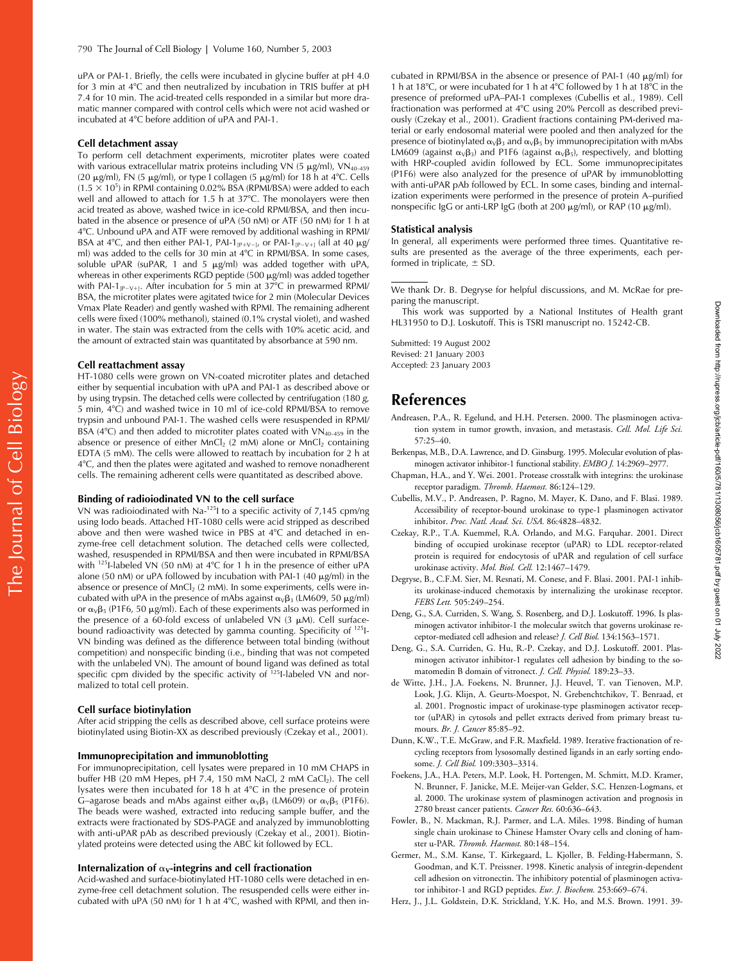uPA or PAI-1. Briefly, the cells were incubated in glycine buffer at pH 4.0 for 3 min at 4°C and then neutralized by incubation in TRIS buffer at pH 7.4 for 10 min. The acid-treated cells responded in a similar but more dramatic manner compared with control cells which were not acid washed or incubated at 4C before addition of uPA and PAI-1.

#### **Cell detachment assay**

To perform cell detachment experiments, microtiter plates were coated with various extracellular matrix proteins including VN (5  $\mu$ g/ml), VN<sub>40–459</sub> (20  $\mu$ g/ml), FN (5  $\mu$ g/ml), or type I collagen (5  $\mu$ g/ml) for 18 h at 4°C. Cells  $(1.5 \times 10^5)$  in RPMI containing 0.02% BSA (RPMI/BSA) were added to each well and allowed to attach for 1.5 h at 37°C. The monolayers were then acid treated as above, washed twice in ice-cold RPMI/BSA, and then incubated in the absence or presence of uPA (50 nM) or ATF (50 nM) for 1 h at 4C. Unbound uPA and ATF were removed by additional washing in RPMI/ BSA at 4°C, and then either PAI-1, PAI-1<sub>[P+V-]</sub>, or PAI-1<sub>[P-V+]</sub> (all at 40  $\mu$ g/ ml) was added to the cells for 30 min at 4°C in RPMI/BSA. In some cases, soluble uPAR (suPAR, 1 and 5  $\mu$ g/ml) was added together with uPA, whereas in other experiments RGD peptide (500  $\mu$ g/ml) was added together with PAI-1<sub>[P-V+]</sub>. After incubation for 5 min at 37°C in prewarmed RPMI/ BSA, the microtiter plates were agitated twice for 2 min (Molecular Devices Vmax Plate Reader) and gently washed with RPMI. The remaining adherent cells were fixed (100% methanol), stained (0.1% crystal violet), and washed in water. The stain was extracted from the cells with 10% acetic acid, and the amount of extracted stain was quantitated by absorbance at 590 nm.

#### **Cell reattachment assay**

HT-1080 cells were grown on VN-coated microtiter plates and detached either by sequential incubation with uPA and PAI-1 as described above or by using trypsin. The detached cells were collected by centrifugation (180 *g*, 5 min,  $4^{\circ}$ C) and washed twice in 10 ml of ice-cold RPMI/BSA to remove trypsin and unbound PAI-1. The washed cells were resuspended in RPMI/ BSA (4 $\degree$ C) and then added to microtiter plates coated with VN<sub>40–459</sub> in the absence or presence of either MnCl<sub>2</sub> (2 mM) alone or MnCl<sub>2</sub> containing EDTA (5 mM). The cells were allowed to reattach by incubation for 2 h at 4C, and then the plates were agitated and washed to remove nonadherent cells. The remaining adherent cells were quantitated as described above.

#### **Binding of radioiodinated VN to the cell surface**

VN was radioiodinated with Na-125I to a specific activity of 7,145 cpm/ng using Iodo beads. Attached HT-1080 cells were acid stripped as described above and then were washed twice in PBS at 4°C and detached in enzyme-free cell detachment solution. The detached cells were collected, washed, resuspended in RPMI/BSA and then were incubated in RPMI/BSA with  $125$ I-labeled VN (50 nM) at 4°C for 1 h in the presence of either uPA alone (50 nM) or uPA followed by incubation with PAI-1 (40  $\mu$ g/ml) in the absence or presence of  $MnCl<sub>2</sub>$  (2 mM). In some experiments, cells were incubated with uPA in the presence of mAbs against  $\alpha_V\beta_3$  (LM609, 50  $\mu$ g/ml) or  $\alpha_V\beta_5$  (P1F6, 50 µg/ml). Each of these experiments also was performed in the presence of a 60-fold excess of unlabeled VN (3  $\mu$ M). Cell surfacebound radioactivity was detected by gamma counting. Specificity of 125I-VN binding was defined as the difference between total binding (without competition) and nonspecific binding (i.e., binding that was not competed with the unlabeled VN). The amount of bound ligand was defined as total specific cpm divided by the specific activity of 125I-labeled VN and normalized to total cell protein.

#### **Cell surface biotinylation**

After acid stripping the cells as described above, cell surface proteins were biotinylated using Biotin-XX as described previously (Czekay et al., 2001).

#### **Immunoprecipitation and immunoblotting**

For immunoprecipitation, cell lysates were prepared in 10 mM CHAPS in buffer HB (20 mM Hepes, pH  $7.4$ , 150 mM NaCl, 2 mM CaCl<sub>2</sub>). The cell lysates were then incubated for 18 h at  $4^{\circ}$ C in the presence of protein G–agarose beads and mAbs against either  $\alpha_{\rm V}\beta_3$  (LM609) or  $\alpha_{\rm V}\beta_5$  (P1F6). The beads were washed, extracted into reducing sample buffer, and the extracts were fractionated by SDS-PAGE and analyzed by immunoblotting with anti-uPAR pAb as described previously (Czekay et al., 2001). Biotinylated proteins were detected using the ABC kit followed by ECL.

#### Internalization of  $\alpha_V$ -integrins and cell fractionation

Acid-washed and surface-biotinylated HT-1080 cells were detached in enzyme-free cell detachment solution. The resuspended cells were either incubated with uPA (50 nM) for 1 h at  $4^{\circ}$ C, washed with RPMI, and then in-

cubated in RPMI/BSA in the absence or presence of PAI-1  $(40 \mu g/ml)$  for 1 h at 18 $^{\circ}$ C, or were incubated for 1 h at 4 $^{\circ}$ C followed by 1 h at 18 $^{\circ}$ C in the presence of preformed uPA–PAI-1 complexes (Cubellis et al., 1989). Cell fractionation was performed at 4°C using 20% Percoll as described previously (Czekay et al., 2001). Gradient fractions containing PM-derived material or early endosomal material were pooled and then analyzed for the presence of biotinylated  $\alpha_V\beta_3$  and  $\alpha_V\beta_5$  by immunoprecipitation with mAbs LM609 (against  $\alpha_V\beta_3$ ) and P1F6 (against  $\alpha_V\beta_5$ ), respectively, and blotting with HRP-coupled avidin followed by ECL. Some immunoprecipitates (P1F6) were also analyzed for the presence of uPAR by immunoblotting with anti-uPAR pAb followed by ECL. In some cases, binding and internalization experiments were performed in the presence of protein A–purified nonspecific IgG or anti-LRP IgG (both at 200  $\mu$ g/ml), or RAP (10  $\mu$ g/ml).

#### **Statistical analysis**

In general, all experiments were performed three times. Quantitative results are presented as the average of the three experiments, each performed in triplicate,  $\pm$  SD.

We thank Dr. B. Degryse for helpful discussions, and M. McRae for preparing the manuscript.

This work was supported by a National Institutes of Health grant HL31950 to D.J. Loskutoff. This is TSRI manuscript no. 15242-CB.

Submitted: 19 August 2002 Revised: 21 January 2003 Accepted: 23 January 2003

# **References**

- Andreasen, P.A., R. Egelund, and H.H. Petersen. 2000. The plasminogen activation system in tumor growth, invasion, and metastasis. *Cell. Mol. Life Sci.* 57:25–40.
- Berkenpas, M.B., D.A. Lawrence, and D. Ginsburg. 1995. Molecular evolution of plasminogen activator inhibitor-1 functional stability. *EMBO J.* 14:2969–2977.
- Chapman, H.A., and Y. Wei. 2001. Protease crosstalk with integrins: the urokinase receptor paradigm. *Thromb. Haemost.* 86:124–129.
- Cubellis, M.V., P. Andreasen, P. Ragno, M. Mayer, K. Dano, and F. Blasi. 1989. Accessibility of receptor-bound urokinase to type-1 plasminogen activator inhibitor. *Proc. Natl. Acad. Sci. USA.* 86:4828–4832.
- Czekay, R.P., T.A. Kuemmel, R.A. Orlando, and M.G. Farquhar. 2001. Direct binding of occupied urokinase receptor (uPAR) to LDL receptor-related protein is required for endocytosis of uPAR and regulation of cell surface urokinase activity. *Mol. Biol. Cell.* 12:1467–1479.
- Degryse, B., C.F.M. Sier, M. Resnati, M. Conese, and F. Blasi. 2001. PAI-1 inhibits urokinase-induced chemotaxis by internalizing the urokinase receptor. *FEBS Lett.* 505:249–254.
- Deng, G., S.A. Curriden, S. Wang, S. Rosenberg, and D.J. Loskutoff. 1996. Is plasminogen activator inhibitor-1 the molecular switch that governs urokinase receptor-mediated cell adhesion and release? *J. Cell Biol.* 134:1563–1571.
- Deng, G., S.A. Curriden, G. Hu, R.-P. Czekay, and D.J. Loskutoff. 2001. Plasminogen activator inhibitor-1 regulates cell adhesion by binding to the somatomedin B domain of vitronect. *J. Cell. Physiol.* 189:23–33.
- de Witte, J.H., J.A. Foekens, N. Brunner, J.J. Heuvel, T. van Tienoven, M.P. Look, J.G. Klijn, A. Geurts-Moespot, N. Grebenchtchikov, T. Benraad, et al. 2001. Prognostic impact of urokinase-type plasminogen activator receptor (uPAR) in cytosols and pellet extracts derived from primary breast tumours. *Br. J. Cancer* 85:85–92.
- Dunn, K.W., T.E. McGraw, and F.R. Maxfield. 1989. Iterative fractionation of recycling receptors from lysosomally destined ligands in an early sorting endosome. *J. Cell Biol.* 109:3303–3314.
- Foekens, J.A., H.A. Peters, M.P. Look, H. Portengen, M. Schmitt, M.D. Kramer, N. Brunner, F. Janicke, M.E. Meijer-van Gelder, S.C. Henzen-Logmans, et al. 2000. The urokinase system of plasminogen activation and prognosis in 2780 breast cancer patients. *Cancer Res.* 60:636–643.
- Fowler, B., N. Mackman, R.J. Parmer, and L.A. Miles. 1998. Binding of human single chain urokinase to Chinese Hamster Ovary cells and cloning of hamster u-PAR. *Thromb. Haemost.* 80:148–154.
- Germer, M., S.M. Kanse, T. Kirkegaard, L. Kjoller, B. Felding-Habermann, S. Goodman, and K.T. Preissner. 1998. Kinetic analysis of integrin-dependent cell adhesion on vitronectin. The inhibitory potential of plasminogen activator inhibitor-1 and RGD peptides. *Eur. J. Biochem.* 253:669–674.
- Herz, J., J.L. Goldstein, D.K. Strickland, Y.K. Ho, and M.S. Brown. 1991. 39-